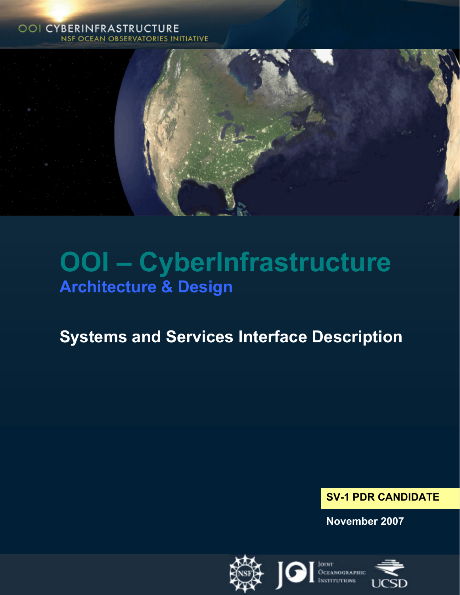## OOI CYBERINFRASTRUCTURE **NSF OCEAN OBSERVATORIES INITIATIVE**



# **OOI – CyberInfrastructure Architecture & Design**

## **Systems and Services Interface Description**

## **SV-1 PDR CANDIDATE**

**November 2007** 

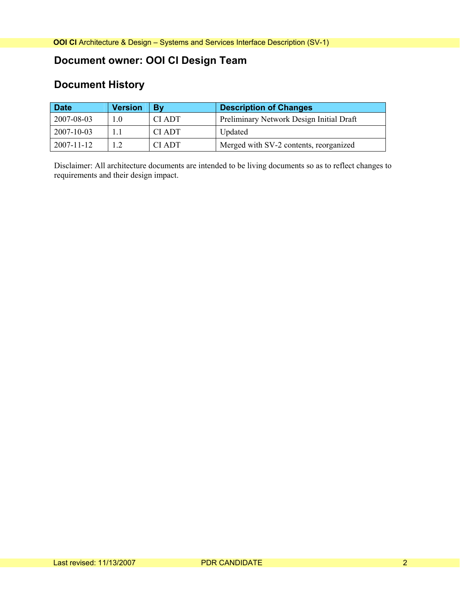## **Document owner: OOI CI Design Team**

## **Document History**

| <b>Date</b>      | <b>Version</b> | Bv     | <b>Description of Changes</b>            |
|------------------|----------------|--------|------------------------------------------|
| 2007-08-03       |                | CI ADT | Preliminary Network Design Initial Draft |
| $2007 - 10 - 03$ |                | CI ADT | Updated                                  |
| $2007 - 11 - 12$ |                | CI ADT | Merged with SV-2 contents, reorganized   |

Disclaimer: All architecture documents are intended to be living documents so as to reflect changes to requirements and their design impact.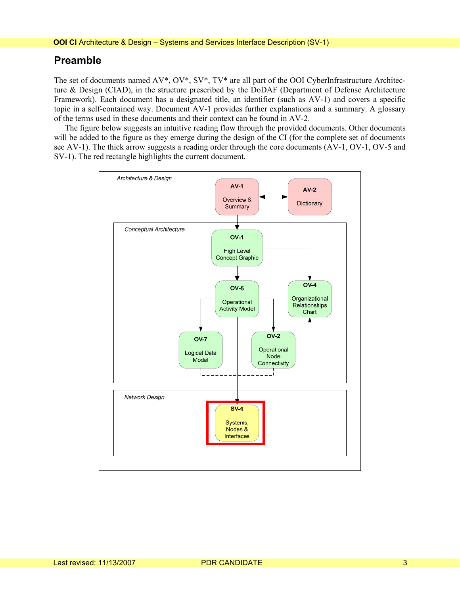## **Preamble**

The set of documents named AV\*, OV\*, SV\*, TV\* are all part of the OOI CyberInfrastructure Architecture & Design (CIAD), in the structure prescribed by the DoDAF (Department of Defense Architecture Framework). Each document has a designated title, an identifier (such as AV-1) and covers a specific topic in a self-contained way. Document AV-1 provides further explanations and a summary. A glossary of the terms used in these documents and their context can be found in AV-2.

The figure below suggests an intuitive reading flow through the provided documents. Other documents will be added to the figure as they emerge during the design of the CI (for the complete set of documents see AV-1). The thick arrow suggests a reading order through the core documents (AV-1, OV-1, OV-5 and SV-1). The red rectangle highlights the current document.

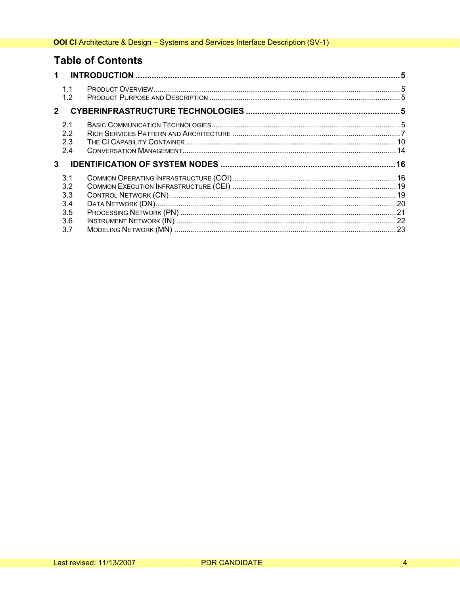## **Table of Contents**

| $\blacksquare$ |                                        |  |  |  |  |
|----------------|----------------------------------------|--|--|--|--|
|                | 1.1<br>1.2                             |  |  |  |  |
| $\mathbf{2}$   |                                        |  |  |  |  |
|                | 21<br>2.2<br>2.3<br>2.4                |  |  |  |  |
| 3              |                                        |  |  |  |  |
|                | 3.1<br>3.2<br>3.3<br>3.4<br>3.5<br>3.6 |  |  |  |  |
|                | 3.7                                    |  |  |  |  |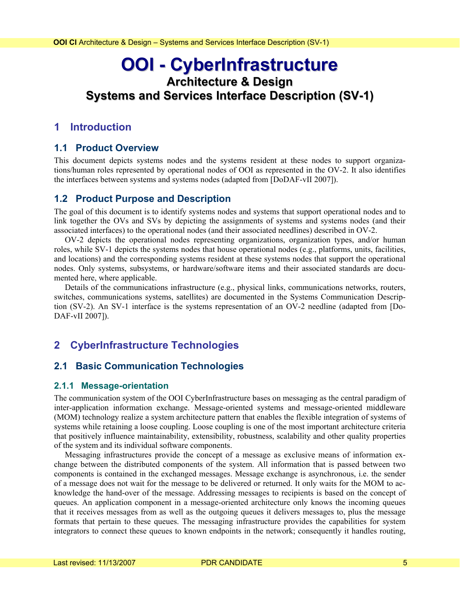## <span id="page-4-0"></span>**OOI - CyberInfrastructure Architecture & Design Systems and Services Interface Description (SV-1)**

## **1 Introduction**

## **1.1 Product Overview**

This document depicts systems nodes and the systems resident at these nodes to support organizations/human roles represented by operational nodes of OOI as represented in the OV-2. It also identifies the interfaces between systems and systems nodes (adapted from [DoDAF-vII 2007]).

## **1.2 Product Purpose and Description**

The goal of this document is to identify systems nodes and systems that support operational nodes and to link together the OVs and SVs by depicting the assignments of systems and systems nodes (and their associated interfaces) to the operational nodes (and their associated needlines) described in OV-2.

OV-2 depicts the operational nodes representing organizations, organization types, and/or human roles, while SV-1 depicts the systems nodes that house operational nodes (e.g., platforms, units, facilities, and locations) and the corresponding systems resident at these systems nodes that support the operational nodes. Only systems, subsystems, or hardware/software items and their associated standards are documented here, where applicable.

Details of the communications infrastructure (e.g., physical links, communications networks, routers, switches, communications systems, satellites) are documented in the Systems Communication Description (SV-2). An SV-1 interface is the systems representation of an OV-2 needline (adapted from [Do-DAF-vII 2007]).

## **2 CyberInfrastructure Technologies**

## **2.1 Basic Communication Technologies**

## **2.1.1 Message-orientation**

The communication system of the OOI CyberInfrastructure bases on messaging as the central paradigm of inter-application information exchange. Message-oriented systems and message-oriented middleware (MOM) technology realize a system architecture pattern that enables the flexible integration of systems of systems while retaining a loose coupling. Loose coupling is one of the most important architecture criteria that positively influence maintainability, extensibility, robustness, scalability and other quality properties of the system and its individual software components.

Messaging infrastructures provide the concept of a message as exclusive means of information exchange between the distributed components of the system. All information that is passed between two components is contained in the exchanged messages. Message exchange is asynchronous, i.e. the sender of a message does not wait for the message to be delivered or returned. It only waits for the MOM to acknowledge the hand-over of the message. Addressing messages to recipients is based on the concept of queues. An application component in a message-oriented architecture only knows the incoming queues that it receives messages from as well as the outgoing queues it delivers messages to, plus the message formats that pertain to these queues. The messaging infrastructure provides the capabilities for system integrators to connect these queues to known endpoints in the network; consequently it handles routing,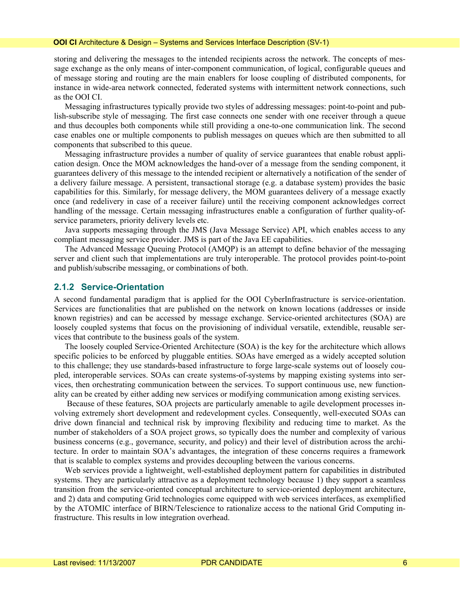storing and delivering the messages to the intended recipients across the network. The concepts of message exchange as the only means of inter-component communication, of logical, configurable queues and of message storing and routing are the main enablers for loose coupling of distributed components, for instance in wide-area network connected, federated systems with intermittent network connections, such as the OOI CI.

Messaging infrastructures typically provide two styles of addressing messages: point-to-point and publish-subscribe style of messaging. The first case connects one sender with one receiver through a queue and thus decouples both components while still providing a one-to-one communication link. The second case enables one or multiple components to publish messages on queues which are then submitted to all components that subscribed to this queue.

Messaging infrastructure provides a number of quality of service guarantees that enable robust application design. Once the MOM acknowledges the hand-over of a message from the sending component, it guarantees delivery of this message to the intended recipient or alternatively a notification of the sender of a delivery failure message. A persistent, transactional storage (e.g. a database system) provides the basic capabilities for this. Similarly, for message delivery, the MOM guarantees delivery of a message exactly once (and redelivery in case of a receiver failure) until the receiving component acknowledges correct handling of the message. Certain messaging infrastructures enable a configuration of further quality-ofservice parameters, priority delivery levels etc.

Java supports messaging through the JMS (Java Message Service) API, which enables access to any compliant messaging service provider. JMS is part of the Java EE capabilities.

The Advanced Message Queuing Protocol (AMQP) is an attempt to define behavior of the messaging server and client such that implementations are truly interoperable. The protocol provides point-to-point and publish/subscribe messaging, or combinations of both.

#### **2.1.2 Service-Orientation**

A second fundamental paradigm that is applied for the OOI CyberInfrastructure is service-orientation. Services are functionalities that are published on the network on known locations (addresses or inside known registries) and can be accessed by message exchange. Service-oriented architectures (SOA) are loosely coupled systems that focus on the provisioning of individual versatile, extendible, reusable services that contribute to the business goals of the system.

The loosely coupled Service-Oriented Architecture (SOA) is the key for the architecture which allows specific policies to be enforced by pluggable entities. SOAs have emerged as a widely accepted solution to this challenge; they use standards-based infrastructure to forge large-scale systems out of loosely coupled, interoperable services. SOAs can create systems-of-systems by mapping existing systems into services, then orchestrating communication between the services. To support continuous use, new functionality can be created by either adding new services or modifying communication among existing services.

 Because of these features, SOA projects are particularly amenable to agile development processes involving extremely short development and redevelopment cycles. Consequently, well-executed SOAs can drive down financial and technical risk by improving flexibility and reducing time to market. As the number of stakeholders of a SOA project grows, so typically does the number and complexity of various business concerns (e.g., governance, security, and policy) and their level of distribution across the architecture. In order to maintain SOA's advantages, the integration of these concerns requires a framework that is scalable to complex systems and provides decoupling between the various concerns.

Web services provide a lightweight, well-established deployment pattern for capabilities in distributed systems. They are particularly attractive as a deployment technology because 1) they support a seamless transition from the service-oriented conceptual architecture to service-oriented deployment architecture, and 2) data and computing Grid technologies come equipped with web services interfaces, as exemplified by the ATOMIC interface of BIRN/Telescience to rationalize access to the national Grid Computing infrastructure. This results in low integration overhead.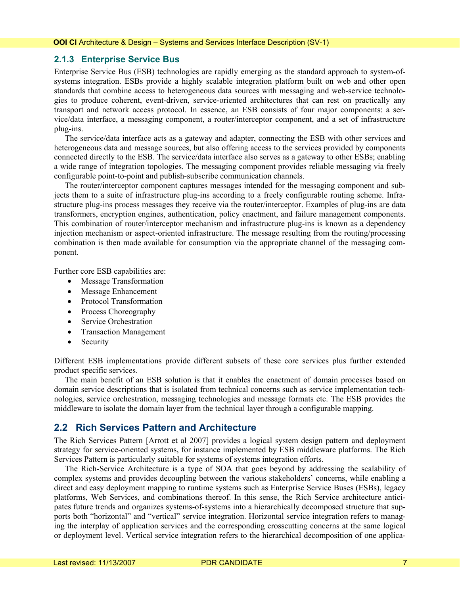## <span id="page-6-0"></span>**2.1.3 Enterprise Service Bus**

Enterprise Service Bus (ESB) technologies are rapidly emerging as the standard approach to system-ofsystems integration. ESBs provide a highly scalable integration platform built on web and other open standards that combine access to heterogeneous data sources with messaging and web-service technologies to produce coherent, event-driven, service-oriented architectures that can rest on practically any transport and network access protocol. In essence, an ESB consists of four major components: a service/data interface, a messaging component, a router/interceptor component, and a set of infrastructure plug-ins.

The service/data interface acts as a gateway and adapter, connecting the ESB with other services and heterogeneous data and message sources, but also offering access to the services provided by components connected directly to the ESB. The service/data interface also serves as a gateway to other ESBs; enabling a wide range of integration topologies. The messaging component provides reliable messaging via freely configurable point-to-point and publish-subscribe communication channels.

The router/interceptor component captures messages intended for the messaging component and subjects them to a suite of infrastructure plug-ins according to a freely configurable routing scheme. Infrastructure plug-ins process messages they receive via the router/interceptor. Examples of plug-ins are data transformers, encryption engines, authentication, policy enactment, and failure management components. This combination of router/interceptor mechanism and infrastructure plug-ins is known as a dependency injection mechanism or aspect-oriented infrastructure. The message resulting from the routing/processing combination is then made available for consumption via the appropriate channel of the messaging component.

Further core ESB capabilities are:

- Message Transformation
- Message Enhancement
- Protocol Transformation
- Process Choreography
- Service Orchestration
- Transaction Management
- Security

Different ESB implementations provide different subsets of these core services plus further extended product specific services.

The main benefit of an ESB solution is that it enables the enactment of domain processes based on domain service descriptions that is isolated from technical concerns such as service implementation technologies, service orchestration, messaging technologies and message formats etc. The ESB provides the middleware to isolate the domain layer from the technical layer through a configurable mapping.

## **2.2 Rich Services Pattern and Architecture**

The Rich Services Pattern [Arrott et al 2007] provides a logical system design pattern and deployment strategy for service-oriented systems, for instance implemented by ESB middleware platforms. The Rich Services Pattern is particularly suitable for systems of systems integration efforts.

The Rich-Service Architecture is a type of SOA that goes beyond by addressing the scalability of complex systems and provides decoupling between the various stakeholders' concerns, while enabling a direct and easy deployment mapping to runtime systems such as Enterprise Service Buses (ESBs), legacy platforms, Web Services, and combinations thereof. In this sense, the Rich Service architecture anticipates future trends and organizes systems-of-systems into a hierarchically decomposed structure that supports both "horizontal" and "vertical" service integration. Horizontal service integration refers to managing the interplay of application services and the corresponding crosscutting concerns at the same logical or deployment level. Vertical service integration refers to the hierarchical decomposition of one applica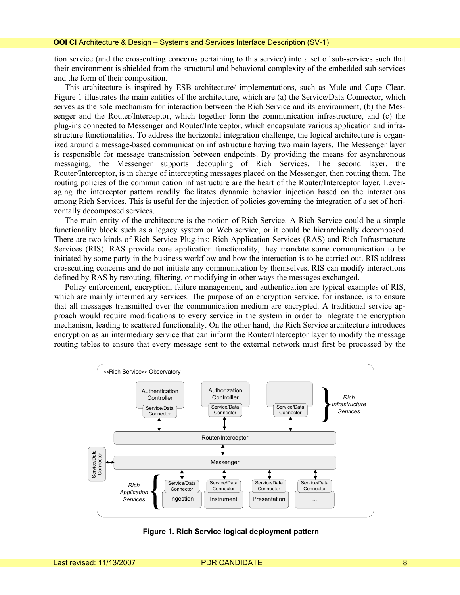tion service (and the crosscutting concerns pertaining to this service) into a set of sub-services such that their environment is shielded from the structural and behavioral complexity of the embedded sub-services and the form of their composition.

This architecture is inspired by ESB architecture/ implementations, such as Mule and Cape Clear. Figure 1 illustrates the main entities of the architecture, which are (a) the Service/Data Connector, which serves as the sole mechanism for interaction between the Rich Service and its environment, (b) the Messenger and the Router/Interceptor, which together form the communication infrastructure, and (c) the plug-ins connected to Messenger and Router/Interceptor, which encapsulate various application and infrastructure functionalities. To address the horizontal integration challenge, the logical architecture is organized around a message-based communication infrastructure having two main layers. The Messenger layer is responsible for message transmission between endpoints. By providing the means for asynchronous messaging, the Messenger supports decoupling of Rich Services. The second layer, the Router/Interceptor, is in charge of intercepting messages placed on the Messenger, then routing them. The routing policies of the communication infrastructure are the heart of the Router/Interceptor layer. Leveraging the interceptor pattern readily facilitates dynamic behavior injection based on the interactions among Rich Services. This is useful for the injection of policies governing the integration of a set of horizontally decomposed services.

The main entity of the architecture is the notion of Rich Service. A Rich Service could be a simple functionality block such as a legacy system or Web service, or it could be hierarchically decomposed. There are two kinds of Rich Service Plug-ins: Rich Application Services (RAS) and Rich Infrastructure Services (RIS). RAS provide core application functionality, they mandate some communication to be initiated by some party in the business workflow and how the interaction is to be carried out. RIS address crosscutting concerns and do not initiate any communication by themselves. RIS can modify interactions defined by RAS by rerouting, filtering, or modifying in other ways the messages exchanged.

Policy enforcement, encryption, failure management, and authentication are typical examples of RIS, which are mainly intermediary services. The purpose of an encryption service, for instance, is to ensure that all messages transmitted over the communication medium are encrypted. A traditional service approach would require modifications to every service in the system in order to integrate the encryption mechanism, leading to scattered functionality. On the other hand, the Rich Service architecture introduces encryption as an intermediary service that can inform the Router/Interceptor layer to modify the message routing tables to ensure that every message sent to the external network must first be processed by the



**Figure 1. Rich Service logical deployment pattern**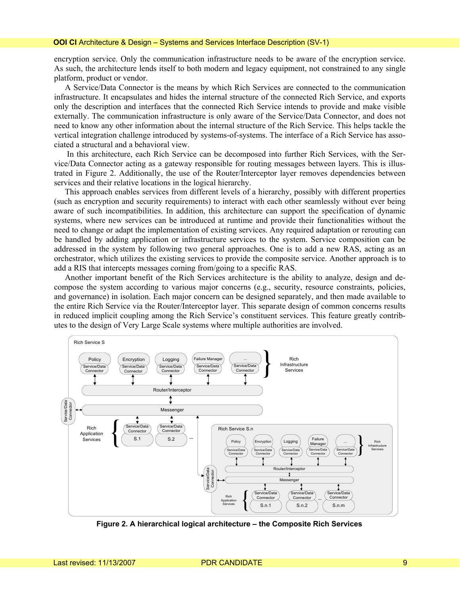encryption service. Only the communication infrastructure needs to be aware of the encryption service. As such, the architecture lends itself to both modern and legacy equipment, not constrained to any single platform, product or vendor.

A Service/Data Connector is the means by which Rich Services are connected to the communication infrastructure. It encapsulates and hides the internal structure of the connected Rich Service, and exports only the description and interfaces that the connected Rich Service intends to provide and make visible externally. The communication infrastructure is only aware of the Service/Data Connector, and does not need to know any other information about the internal structure of the Rich Service. This helps tackle the vertical integration challenge introduced by systems-of-systems. The interface of a Rich Service has associated a structural and a behavioral view.

 In this architecture, each Rich Service can be decomposed into further Rich Services, with the Service/Data Connector acting as a gateway responsible for routing messages between layers. This is illustrated in Figure 2. Additionally, the use of the Router/Interceptor layer removes dependencies between services and their relative locations in the logical hierarchy.

This approach enables services from different levels of a hierarchy, possibly with different properties (such as encryption and security requirements) to interact with each other seamlessly without ever being aware of such incompatibilities. In addition, this architecture can support the specification of dynamic systems, where new services can be introduced at runtime and provide their functionalities without the need to change or adapt the implementation of existing services. Any required adaptation or rerouting can be handled by adding application or infrastructure services to the system. Service composition can be addressed in the system by following two general approaches. One is to add a new RAS, acting as an orchestrator, which utilizes the existing services to provide the composite service. Another approach is to add a RIS that intercepts messages coming from/going to a specific RAS.

Another important benefit of the Rich Services architecture is the ability to analyze, design and decompose the system according to various major concerns (e.g., security, resource constraints, policies, and governance) in isolation. Each major concern can be designed separately, and then made available to the entire Rich Service via the Router/Interceptor layer. This separate design of common concerns results in reduced implicit coupling among the Rich Service's constituent services. This feature greatly contributes to the design of Very Large Scale systems where multiple authorities are involved.



**Figure 2. A hierarchical logical architecture – the Composite Rich Services**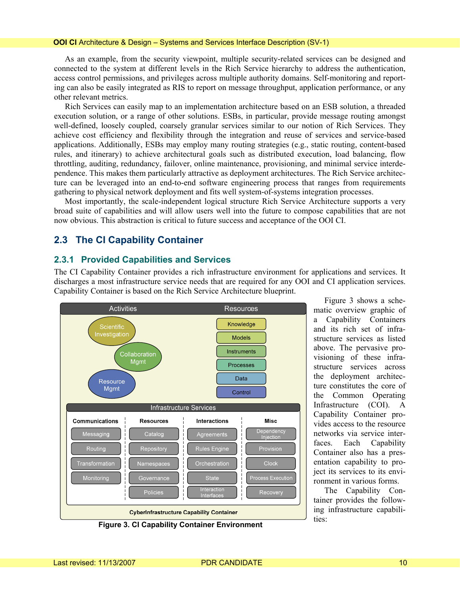#### <span id="page-9-0"></span>**OOI CI** Architecture & Design – Systems and Services Interface Description (SV-1)

As an example, from the security viewpoint, multiple security-related services can be designed and connected to the system at different levels in the Rich Service hierarchy to address the authentication, access control permissions, and privileges across multiple authority domains. Self-monitoring and reporting can also be easily integrated as RIS to report on message throughput, application performance, or any other relevant metrics.

Rich Services can easily map to an implementation architecture based on an ESB solution, a threaded execution solution, or a range of other solutions. ESBs, in particular, provide message routing amongst well-defined, loosely coupled, coarsely granular services similar to our notion of Rich Services. They achieve cost efficiency and flexibility through the integration and reuse of services and service-based applications. Additionally, ESBs may employ many routing strategies (e.g., static routing, content-based rules, and itinerary) to achieve architectural goals such as distributed execution, load balancing, flow throttling, auditing, redundancy, failover, online maintenance, provisioning, and minimal service interdependence. This makes them particularly attractive as deployment architectures. The Rich Service architecture can be leveraged into an end-to-end software engineering process that ranges from requirements gathering to physical network deployment and fits well system-of-systems integration processes.

Most importantly, the scale-independent logical structure Rich Service Architecture supports a very broad suite of capabilities and will allow users well into the future to compose capabilities that are not now obvious. This abstraction is critical to future success and acceptance of the OOI CI.

## **2.3 The CI Capability Container**

## **2.3.1 Provided Capabilities and Services**

The CI Capability Container provides a rich infrastructure environment for applications and services. It discharges a most infrastructure service needs that are required for any OOI and CI application services. Capability Container is based on the Rich Service Architecture blueprint.



Figure 3 shows a schematic overview graphic of a Capability Containers and its rich set of infrastructure services as listed above. The pervasive provisioning of these infrastructure services across the deployment architecture constitutes the core of the Common Operating Infrastructure (COI). A Capability Container provides access to the resource networks via service interfaces. Each Capability Container also has a presentation capability to project its services to its environment in various forms.

The Capability Container provides the following infrastructure capabilities:

**Figure 3. CI Capability Container Environment**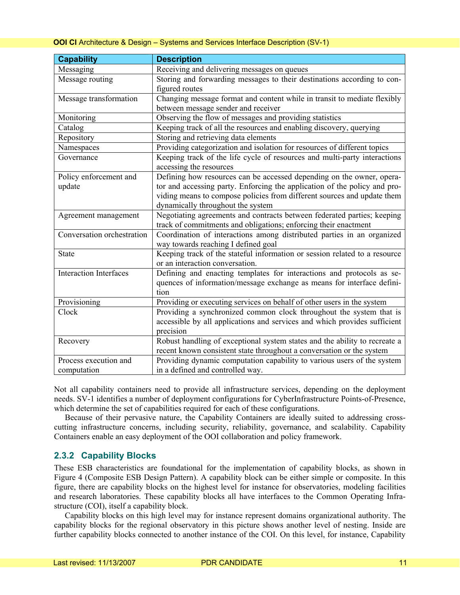| <b>Capability</b>             | <b>Description</b>                                                         |
|-------------------------------|----------------------------------------------------------------------------|
| Messaging                     | Receiving and delivering messages on queues                                |
| Message routing               | Storing and forwarding messages to their destinations according to con-    |
|                               | figured routes                                                             |
| Message transformation        | Changing message format and content while in transit to mediate flexibly   |
|                               | between message sender and receiver                                        |
| Monitoring                    | Observing the flow of messages and providing statistics                    |
| Catalog                       | Keeping track of all the resources and enabling discovery, querying        |
| Repository                    | Storing and retrieving data elements                                       |
| Namespaces                    | Providing categorization and isolation for resources of different topics   |
| Governance                    | Keeping track of the life cycle of resources and multi-party interactions  |
|                               | accessing the resources                                                    |
| Policy enforcement and        | Defining how resources can be accessed depending on the owner, opera-      |
| update                        | tor and accessing party. Enforcing the application of the policy and pro-  |
|                               | viding means to compose policies from different sources and update them    |
|                               | dynamically throughout the system                                          |
| Agreement management          | Negotiating agreements and contracts between federated parties; keeping    |
|                               | track of commitments and obligations; enforcing their enactment            |
| Conversation orchestration    | Coordination of interactions among distributed parties in an organized     |
|                               | way towards reaching I defined goal                                        |
| <b>State</b>                  | Keeping track of the stateful information or session related to a resource |
|                               | or an interaction conversation.                                            |
| <b>Interaction Interfaces</b> | Defining and enacting templates for interactions and protocols as se-      |
|                               | quences of information/message exchange as means for interface defini-     |
|                               | tion                                                                       |
| Provisioning                  | Providing or executing services on behalf of other users in the system     |
| Clock                         | Providing a synchronized common clock throughout the system that is        |
|                               | accessible by all applications and services and which provides sufficient  |
|                               | precision                                                                  |
| Recovery                      | Robust handling of exceptional system states and the ability to recreate a |
|                               | recent known consistent state throughout a conversation or the system      |
| Process execution and         | Providing dynamic computation capability to various users of the system    |
| computation                   | in a defined and controlled way.                                           |

Not all capability containers need to provide all infrastructure services, depending on the deployment needs. SV-1 identifies a number of deployment configurations for CyberInfrastructure Points-of-Presence, which determine the set of capabilities required for each of these configurations.

Because of their pervasive nature, the Capability Containers are ideally suited to addressing crosscutting infrastructure concerns, including security, reliability, governance, and scalability. Capability Containers enable an easy deployment of the OOI collaboration and policy framework.

## **2.3.2 Capability Blocks**

These ESB characteristics are foundational for the implementation of capability blocks, as shown in Figure 4 (Composite ESB Design Pattern). A capability block can be either simple or composite. In this figure, there are capability blocks on the highest level for instance for observatories, modeling facilities and research laboratories. These capability blocks all have interfaces to the Common Operating Infrastructure (COI), itself a capability block.

Capability blocks on this high level may for instance represent domains organizational authority. The capability blocks for the regional observatory in this picture shows another level of nesting. Inside are further capability blocks connected to another instance of the COI. On this level, for instance, Capability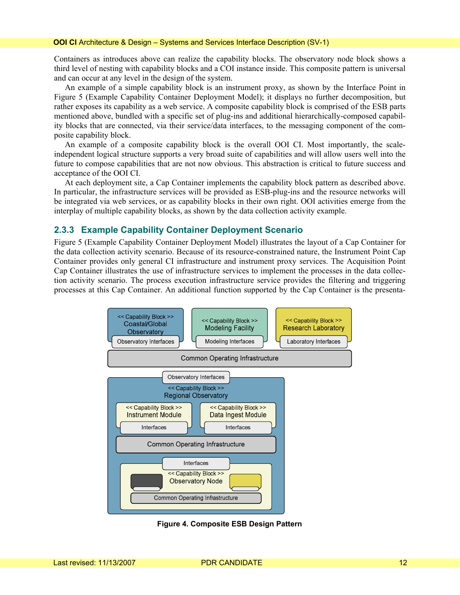Containers as introduces above can realize the capability blocks. The observatory node block shows a third level of nesting with capability blocks and a COI instance inside. This composite pattern is universal and can occur at any level in the design of the system.

An example of a simple capability block is an instrument proxy, as shown by the Interface Point in Figure 5 (Example Capability Container Deployment Model); it displays no further decomposition, but rather exposes its capability as a web service. A composite capability block is comprised of the ESB parts mentioned above, bundled with a specific set of plug-ins and additional hierarchically-composed capability blocks that are connected, via their service/data interfaces, to the messaging component of the composite capability block.

An example of a composite capability block is the overall OOI CI. Most importantly, the scaleindependent logical structure supports a very broad suite of capabilities and will allow users well into the future to compose capabilities that are not now obvious. This abstraction is critical to future success and acceptance of the OOI CI.

At each deployment site, a Cap Container implements the capability block pattern as described above. In particular, the infrastructure services will be provided as ESB-plug-ins and the resource networks will be integrated via web services, or as capability blocks in their own right. OOI activities emerge from the interplay of multiple capability blocks, as shown by the data collection activity example.

### **2.3.3 Example Capability Container Deployment Scenario**

Figure 5 (Example Capability Container Deployment Model) illustrates the layout of a Cap Container for the data collection activity scenario. Because of its resource-constrained nature, the Instrument Point Cap Container provides only general CI infrastructure and instrument proxy services. The Acquisition Point Cap Container illustrates the use of infrastructure services to implement the processes in the data collection activity scenario. The process execution infrastructure service provides the filtering and triggering processes at this Cap Container. An additional function supported by the Cap Container is the presenta-



**Figure 4. Composite ESB Design Pattern**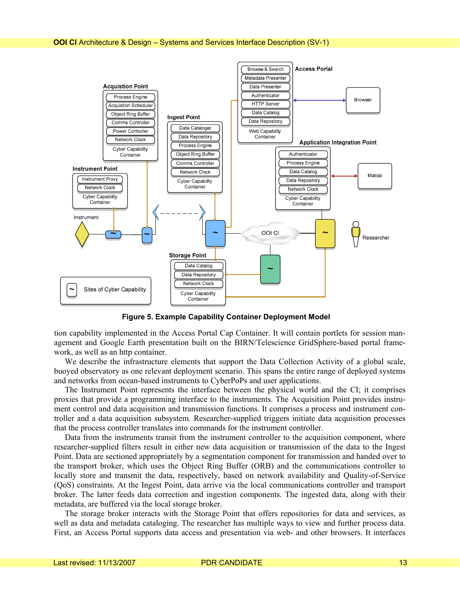

**Figure 5. Example Capability Container Deployment Model** 

tion capability implemented in the Access Portal Cap Container. It will contain portlets for session management and Google Earth presentation built on the BIRN/Telescience GridSphere-based portal framework, as well as an http container.

We describe the infrastructure elements that support the Data Collection Activity of a global scale, buoyed observatory as one relevant deployment scenario. This spans the entire range of deployed systems and networks from ocean-based instruments to CyberPoPs and user applications.

The Instrument Point represents the interface between the physical world and the CI; it comprises proxies that provide a programming interface to the instruments. The Acquisition Point provides instrument control and data acquisition and transmission functions. It comprises a process and instrument controller and a data acquisition subsystem. Researcher-supplied triggers initiate data acquisition processes that the process controller translates into commands for the instrument controller.

Data from the instruments transit from the instrument controller to the acquisition component, where researcher-supplied filters result in either new data acquisition or transmission of the data to the Ingest Point. Data are sectioned appropriately by a segmentation component for transmission and handed over to the transport broker, which uses the Object Ring Buffer (ORB) and the communications controller to locally store and transmit the data, respectively, based on network availability and Quality-of-Service (QoS) constraints. At the Ingest Point, data arrive via the local communications controller and transport broker. The latter feeds data correction and ingestion components. The ingested data, along with their metadata, are buffered via the local storage broker.

The storage broker interacts with the Storage Point that offers repositories for data and services, as well as data and metadata cataloging. The researcher has multiple ways to view and further process data. First, an Access Portal supports data access and presentation via web- and other browsers. It interfaces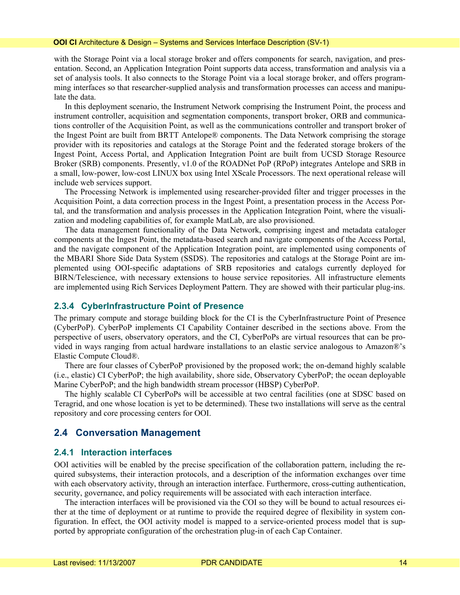#### <span id="page-13-0"></span>**OOI CI** Architecture & Design – Systems and Services Interface Description (SV-1)

with the Storage Point via a local storage broker and offers components for search, navigation, and presentation. Second, an Application Integration Point supports data access, transformation and analysis via a set of analysis tools. It also connects to the Storage Point via a local storage broker, and offers programming interfaces so that researcher-supplied analysis and transformation processes can access and manipulate the data.

In this deployment scenario, the Instrument Network comprising the Instrument Point, the process and instrument controller, acquisition and segmentation components, transport broker, ORB and communications controller of the Acquisition Point, as well as the communications controller and transport broker of the Ingest Point are built from BRTT Antelope® components. The Data Network comprising the storage provider with its repositories and catalogs at the Storage Point and the federated storage brokers of the Ingest Point, Access Portal, and Application Integration Point are built from UCSD Storage Resource Broker (SRB) components. Presently, v1.0 of the ROADNet PoP (RPoP) integrates Antelope and SRB in a small, low-power, low-cost LINUX box using Intel XScale Processors. The next operational release will include web services support.

The Processing Network is implemented using researcher-provided filter and trigger processes in the Acquisition Point, a data correction process in the Ingest Point, a presentation process in the Access Portal, and the transformation and analysis processes in the Application Integration Point, where the visualization and modeling capabilities of, for example MatLab, are also provisioned.

The data management functionality of the Data Network, comprising ingest and metadata cataloger components at the Ingest Point, the metadata-based search and navigate components of the Access Portal, and the navigate component of the Application Integration point, are implemented using components of the MBARI Shore Side Data System (SSDS). The repositories and catalogs at the Storage Point are implemented using OOI-specific adaptations of SRB repositories and catalogs currently deployed for BIRN/Telescience, with necessary extensions to house service repositories. All infrastructure elements are implemented using Rich Services Deployment Pattern. They are showed with their particular plug-ins.

## **2.3.4 CyberInfrastructure Point of Presence**

The primary compute and storage building block for the CI is the CyberInfrastructure Point of Presence (CyberPoP). CyberPoP implements CI Capability Container described in the sections above. From the perspective of users, observatory operators, and the CI, CyberPoPs are virtual resources that can be provided in ways ranging from actual hardware installations to an elastic service analogous to Amazon®'s Elastic Compute Cloud®.

There are four classes of CyberPoP provisioned by the proposed work; the on-demand highly scalable (i.e., elastic) CI CyberPoP; the high availability, shore side, Observatory CyberPoP; the ocean deployable Marine CyberPoP; and the high bandwidth stream processor (HBSP) CyberPoP.

The highly scalable CI CyberPoPs will be accessible at two central facilities (one at SDSC based on Teragrid, and one whose location is yet to be determined). These two installations will serve as the central repository and core processing centers for OOI.

## **2.4 Conversation Management**

## **2.4.1 Interaction interfaces**

OOI activities will be enabled by the precise specification of the collaboration pattern, including the required subsystems, their interaction protocols, and a description of the information exchanges over time with each observatory activity, through an interaction interface. Furthermore, cross-cutting authentication, security, governance, and policy requirements will be associated with each interaction interface.

The interaction interfaces will be provisioned via the COI so they will be bound to actual resources either at the time of deployment or at runtime to provide the required degree of flexibility in system configuration. In effect, the OOI activity model is mapped to a service-oriented process model that is supported by appropriate configuration of the orchestration plug-in of each Cap Container.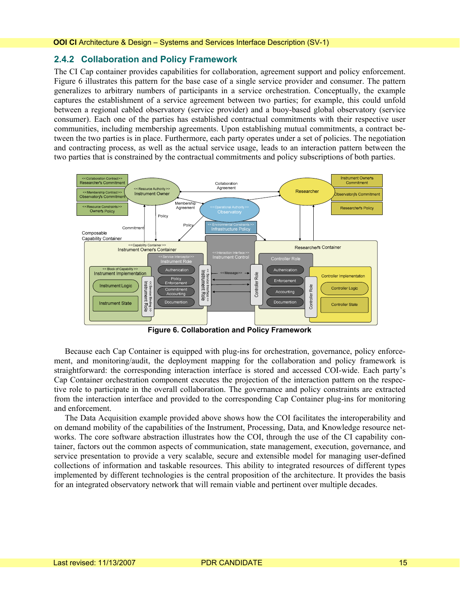## **2.4.2 Collaboration and Policy Framework**

The CI Cap container provides capabilities for collaboration, agreement support and policy enforcement. Figure 6 illustrates this pattern for the base case of a single service provider and consumer. The pattern generalizes to arbitrary numbers of participants in a service orchestration. Conceptually, the example captures the establishment of a service agreement between two parties; for example, this could unfold between a regional cabled observatory (service provider) and a buoy-based global observatory (service consumer). Each one of the parties has established contractual commitments with their respective user communities, including membership agreements. Upon establishing mutual commitments, a contract between the two parties is in place. Furthermore, each party operates under a set of policies. The negotiation and contracting process, as well as the actual service usage, leads to an interaction pattern between the two parties that is constrained by the contractual commitments and policy subscriptions of both parties.



**Figure 6. Collaboration and Policy Framework** 

Because each Cap Container is equipped with plug-ins for orchestration, governance, policy enforcement, and monitoring/audit, the deployment mapping for the collaboration and policy framework is straightforward: the corresponding interaction interface is stored and accessed COI-wide. Each party's Cap Container orchestration component executes the projection of the interaction pattern on the respective role to participate in the overall collaboration. The governance and policy constraints are extracted from the interaction interface and provided to the corresponding Cap Container plug-ins for monitoring and enforcement.

The Data Acquisition example provided above shows how the COI facilitates the interoperability and on demand mobility of the capabilities of the Instrument, Processing, Data, and Knowledge resource networks. The core software abstraction illustrates how the COI, through the use of the CI capability container, factors out the common aspects of communication, state management, execution, governance, and service presentation to provide a very scalable, secure and extensible model for managing user-defined collections of information and taskable resources. This ability to integrated resources of different types implemented by different technologies is the central proposition of the architecture. It provides the basis for an integrated observatory network that will remain viable and pertinent over multiple decades.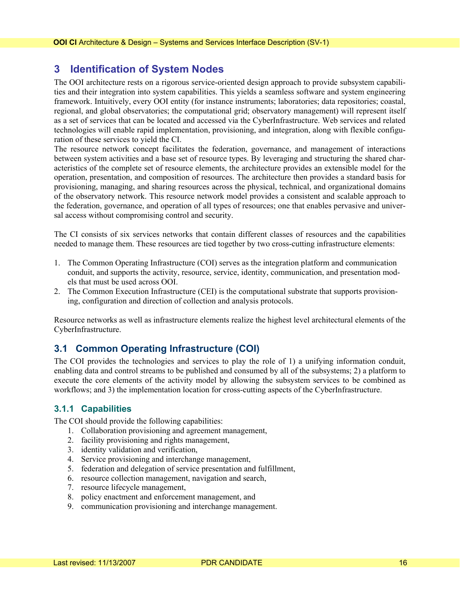## <span id="page-15-0"></span>**3 Identification of System Nodes**

The OOI architecture rests on a rigorous service-oriented design approach to provide subsystem capabilities and their integration into system capabilities. This yields a seamless software and system engineering framework. Intuitively, every OOI entity (for instance instruments; laboratories; data repositories; coastal, regional, and global observatories; the computational grid; observatory management) will represent itself as a set of services that can be located and accessed via the CyberInfrastructure. Web services and related technologies will enable rapid implementation, provisioning, and integration, along with flexible configuration of these services to yield the CI.

The resource network concept facilitates the federation, governance, and management of interactions between system activities and a base set of resource types. By leveraging and structuring the shared characteristics of the complete set of resource elements, the architecture provides an extensible model for the operation, presentation, and composition of resources. The architecture then provides a standard basis for provisioning, managing, and sharing resources across the physical, technical, and organizational domains of the observatory network. This resource network model provides a consistent and scalable approach to the federation, governance, and operation of all types of resources; one that enables pervasive and universal access without compromising control and security.

The CI consists of six services networks that contain different classes of resources and the capabilities needed to manage them. These resources are tied together by two cross-cutting infrastructure elements:

- 1. The Common Operating Infrastructure (COI) serves as the integration platform and communication conduit, and supports the activity, resource, service, identity, communication, and presentation models that must be used across OOI.
- 2. The Common Execution Infrastructure (CEI) is the computational substrate that supports provisioning, configuration and direction of collection and analysis protocols.

Resource networks as well as infrastructure elements realize the highest level architectural elements of the CyberInfrastructure.

## **3.1 Common Operating Infrastructure (COI)**

The COI provides the technologies and services to play the role of 1) a unifying information conduit, enabling data and control streams to be published and consumed by all of the subsystems; 2) a platform to execute the core elements of the activity model by allowing the subsystem services to be combined as workflows; and 3) the implementation location for cross-cutting aspects of the CyberInfrastructure.

## **3.1.1 Capabilities**

The COI should provide the following capabilities:

- 1. Collaboration provisioning and agreement management,
- 2. facility provisioning and rights management,
- 3. identity validation and verification,
- 4. Service provisioning and interchange management,
- 5. federation and delegation of service presentation and fulfillment,
- 6. resource collection management, navigation and search,
- 7. resource lifecycle management,
- 8. policy enactment and enforcement management, and
- 9. communication provisioning and interchange management.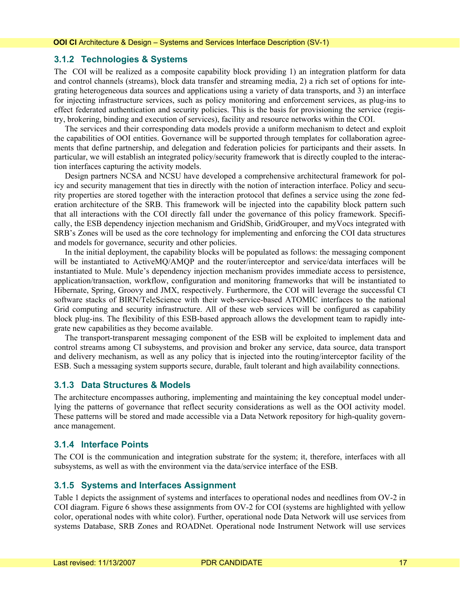## **3.1.2 Technologies & Systems**

The COI will be realized as a composite capability block providing 1) an integration platform for data and control channels (streams), block data transfer and streaming media, 2) a rich set of options for integrating heterogeneous data sources and applications using a variety of data transports, and 3) an interface for injecting infrastructure services, such as policy monitoring and enforcement services, as plug-ins to effect federated authentication and security policies. This is the basis for provisioning the service (registry, brokering, binding and execution of services), facility and resource networks within the COI.

The services and their corresponding data models provide a uniform mechanism to detect and exploit the capabilities of OOI entities. Governance will be supported through templates for collaboration agreements that define partnership, and delegation and federation policies for participants and their assets. In particular, we will establish an integrated policy/security framework that is directly coupled to the interaction interfaces capturing the activity models.

Design partners NCSA and NCSU have developed a comprehensive architectural framework for policy and security management that ties in directly with the notion of interaction interface. Policy and security properties are stored together with the interaction protocol that defines a service using the zone federation architecture of the SRB. This framework will be injected into the capability block pattern such that all interactions with the COI directly fall under the governance of this policy framework. Specifically, the ESB dependency injection mechanism and GridShib, GridGrouper, and myVocs integrated with SRB's Zones will be used as the core technology for implementing and enforcing the COI data structures and models for governance, security and other policies.

In the initial deployment, the capability blocks will be populated as follows: the messaging component will be instantiated to ActiveMQ/AMQP and the router/interceptor and service/data interfaces will be instantiated to Mule. Mule's dependency injection mechanism provides immediate access to persistence, application/transaction, workflow, configuration and monitoring frameworks that will be instantiated to Hibernate, Spring, Groovy and JMX, respectively. Furthermore, the COI will leverage the successful CI software stacks of BIRN/TeleScience with their web-service-based ATOMIC interfaces to the national Grid computing and security infrastructure. All of these web services will be configured as capability block plug-ins. The flexibility of this ESB-based approach allows the development team to rapidly integrate new capabilities as they become available.

The transport-transparent messaging component of the ESB will be exploited to implement data and control streams among CI subsystems, and provision and broker any service, data source, data transport and delivery mechanism, as well as any policy that is injected into the routing/interceptor facility of the ESB. Such a messaging system supports secure, durable, fault tolerant and high availability connections.

#### **3.1.3 Data Structures & Models**

The architecture encompasses authoring, implementing and maintaining the key conceptual model underlying the patterns of governance that reflect security considerations as well as the OOI activity model. These patterns will be stored and made accessible via a Data Network repository for high-quality governance management.

#### **3.1.4 Interface Points**

The COI is the communication and integration substrate for the system; it, therefore, interfaces with all subsystems, as well as with the environment via the data/service interface of the ESB.

#### **3.1.5 Systems and Interfaces Assignment**

Table 1 depicts the assignment of systems and interfaces to operational nodes and needlines from OV-2 in COI diagram. Figure 6 shows these assignments from OV-2 for COI (systems are highlighted with yellow color, operational nodes with white color). Further, operational node Data Network will use services from systems Database, SRB Zones and ROADNet. Operational node Instrument Network will use services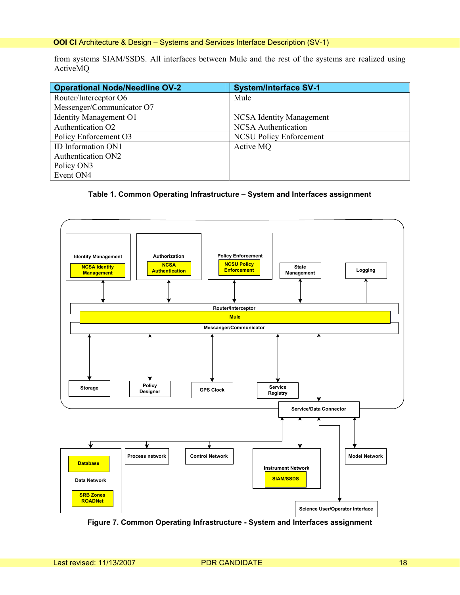#### **OOI CI** Architecture & Design – Systems and Services Interface Description (SV-1)

from systems SIAM/SSDS. All interfaces between Mule and the rest of the systems are realized using ActiveMQ

| <b>Operational Node/Needline OV-2</b> | <b>System/Interface SV-1</b>    |
|---------------------------------------|---------------------------------|
| Router/Interceptor O6                 | Mule                            |
| Messenger/Communicator O7             |                                 |
| <b>Identity Management O1</b>         | <b>NCSA Identity Management</b> |
| Authentication O2                     | <b>NCSA</b> Authentication      |
| Policy Enforcement O3                 | <b>NCSU Policy Enforcement</b>  |
| ID Information ON1                    | Active MQ                       |
| Authentication ON2                    |                                 |
| Policy ON3                            |                                 |
| Event ON4                             |                                 |

## **Table 1. Common Operating Infrastructure – System and Interfaces assignment**



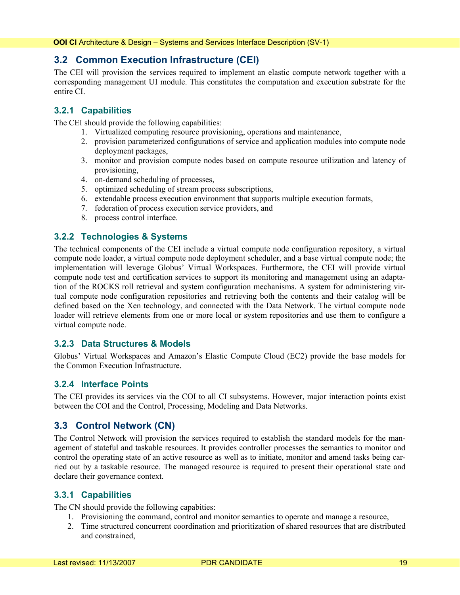## <span id="page-18-0"></span>**3.2 Common Execution Infrastructure (CEI)**

The CEI will provision the services required to implement an elastic compute network together with a corresponding management UI module. This constitutes the computation and execution substrate for the entire CI.

## **3.2.1 Capabilities**

The CEI should provide the following capabilities:

- 1. Virtualized computing resource provisioning, operations and maintenance,
- 2. provision parameterized configurations of service and application modules into compute node deployment packages,
- 3. monitor and provision compute nodes based on compute resource utilization and latency of provisioning,
- 4. on-demand scheduling of processes,
- 5. optimized scheduling of stream process subscriptions,
- 6. extendable process execution environment that supports multiple execution formats,
- 7. federation of process execution service providers, and
- 8. process control interface.

## **3.2.2 Technologies & Systems**

The technical components of the CEI include a virtual compute node configuration repository, a virtual compute node loader, a virtual compute node deployment scheduler, and a base virtual compute node; the implementation will leverage Globus' Virtual Workspaces. Furthermore, the CEI will provide virtual compute node test and certification services to support its monitoring and management using an adaptation of the ROCKS roll retrieval and system configuration mechanisms. A system for administering virtual compute node configuration repositories and retrieving both the contents and their catalog will be defined based on the Xen technology, and connected with the Data Network. The virtual compute node loader will retrieve elements from one or more local or system repositories and use them to configure a virtual compute node.

## **3.2.3 Data Structures & Models**

Globus' Virtual Workspaces and Amazon's Elastic Compute Cloud (EC2) provide the base models for the Common Execution Infrastructure.

## **3.2.4 Interface Points**

The CEI provides its services via the COI to all CI subsystems. However, major interaction points exist between the COI and the Control, Processing, Modeling and Data Networks.

## **3.3 Control Network (CN)**

The Control Network will provision the services required to establish the standard models for the management of stateful and taskable resources. It provides controller processes the semantics to monitor and control the operating state of an active resource as well as to initiate, monitor and amend tasks being carried out by a taskable resource. The managed resource is required to present their operational state and declare their governance context.

## **3.3.1 Capabilities**

The CN should provide the following capabities:

- 1. Provisioning the command, control and monitor semantics to operate and manage a resource,
- 2. Time structured concurrent coordination and prioritization of shared resources that are distributed and constrained,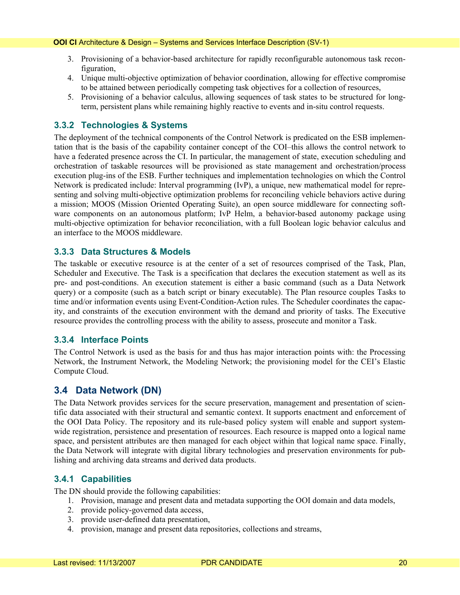- <span id="page-19-0"></span>3. Provisioning of a behavior-based architecture for rapidly reconfigurable autonomous task reconfiguration,
- 4. Unique multi-objective optimization of behavior coordination, allowing for effective compromise to be attained between periodically competing task objectives for a collection of resources,
- 5. Provisioning of a behavior calculus, allowing sequences of task states to be structured for longterm, persistent plans while remaining highly reactive to events and in-situ control requests.

## **3.3.2 Technologies & Systems**

The deployment of the technical components of the Control Network is predicated on the ESB implementation that is the basis of the capability container concept of the COI–this allows the control network to have a federated presence across the CI. In particular, the management of state, execution scheduling and orchestration of taskable resources will be provisioned as state management and orchestration/process execution plug-ins of the ESB. Further techniques and implementation technologies on which the Control Network is predicated include: Interval programming (IvP), a unique, new mathematical model for representing and solving multi-objective optimization problems for reconciling vehicle behaviors active during a mission; MOOS (Mission Oriented Operating Suite), an open source middleware for connecting software components on an autonomous platform; IvP Helm, a behavior-based autonomy package using multi-objective optimization for behavior reconciliation, with a full Boolean logic behavior calculus and an interface to the MOOS middleware.

## **3.3.3 Data Structures & Models**

The taskable or executive resource is at the center of a set of resources comprised of the Task, Plan, Scheduler and Executive. The Task is a specification that declares the execution statement as well as its pre- and post-conditions. An execution statement is either a basic command (such as a Data Network query) or a composite (such as a batch script or binary executable). The Plan resource couples Tasks to time and/or information events using Event-Condition-Action rules. The Scheduler coordinates the capacity, and constraints of the execution environment with the demand and priority of tasks. The Executive resource provides the controlling process with the ability to assess, prosecute and monitor a Task.

## **3.3.4 Interface Points**

The Control Network is used as the basis for and thus has major interaction points with: the Processing Network, the Instrument Network, the Modeling Network; the provisioning model for the CEI's Elastic Compute Cloud.

## **3.4 Data Network (DN)**

The Data Network provides services for the secure preservation, management and presentation of scientific data associated with their structural and semantic context. It supports enactment and enforcement of the OOI Data Policy. The repository and its rule-based policy system will enable and support systemwide registration, persistence and presentation of resources. Each resource is mapped onto a logical name space, and persistent attributes are then managed for each object within that logical name space. Finally, the Data Network will integrate with digital library technologies and preservation environments for publishing and archiving data streams and derived data products.

## **3.4.1 Capabilities**

The DN should provide the following capabilities:

- 1. Provision, manage and present data and metadata supporting the OOI domain and data models,
- 2. provide policy-governed data access,
- 3. provide user-defined data presentation,
- 4. provision, manage and present data repositories, collections and streams,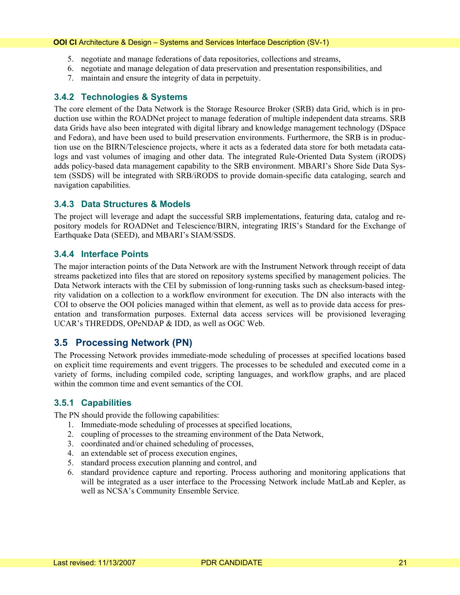#### <span id="page-20-0"></span>**OOI CI** Architecture & Design – Systems and Services Interface Description (SV-1)

- 5. negotiate and manage federations of data repositories, collections and streams,
- 6. negotiate and manage delegation of data preservation and presentation responsibilities, and
- 7. maintain and ensure the integrity of data in perpetuity.

## **3.4.2 Technologies & Systems**

The core element of the Data Network is the Storage Resource Broker (SRB) data Grid, which is in production use within the ROADNet project to manage federation of multiple independent data streams. SRB data Grids have also been integrated with digital library and knowledge management technology (DSpace and Fedora), and have been used to build preservation environments. Furthermore, the SRB is in production use on the BIRN/Telescience projects, where it acts as a federated data store for both metadata catalogs and vast volumes of imaging and other data. The integrated Rule-Oriented Data System (iRODS) adds policy-based data management capability to the SRB environment. MBARI's Shore Side Data System (SSDS) will be integrated with SRB/iRODS to provide domain-specific data cataloging, search and navigation capabilities.

## **3.4.3 Data Structures & Models**

The project will leverage and adapt the successful SRB implementations, featuring data, catalog and repository models for ROADNet and Telescience/BIRN, integrating IRIS's Standard for the Exchange of Earthquake Data (SEED), and MBARI's SIAM/SSDS.

## **3.4.4 Interface Points**

The major interaction points of the Data Network are with the Instrument Network through receipt of data streams packetized into files that are stored on repository systems specified by management policies. The Data Network interacts with the CEI by submission of long-running tasks such as checksum-based integrity validation on a collection to a workflow environment for execution. The DN also interacts with the COI to observe the OOI policies managed within that element, as well as to provide data access for presentation and transformation purposes. External data access services will be provisioned leveraging UCAR's THREDDS, OPeNDAP & IDD, as well as OGC Web.

## **3.5 Processing Network (PN)**

The Processing Network provides immediate-mode scheduling of processes at specified locations based on explicit time requirements and event triggers. The processes to be scheduled and executed come in a variety of forms, including compiled code, scripting languages, and workflow graphs, and are placed within the common time and event semantics of the COI.

## **3.5.1 Capabilities**

The PN should provide the following capabilities:

- 1. Immediate-mode scheduling of processes at specified locations,
- 2. coupling of processes to the streaming environment of the Data Network,
- 3. coordinated and/or chained scheduling of processes,
- 4. an extendable set of process execution engines,
- 5. standard process execution planning and control, and
- 6. standard providence capture and reporting. Process authoring and monitoring applications that will be integrated as a user interface to the Processing Network include MatLab and Kepler, as well as NCSA's Community Ensemble Service.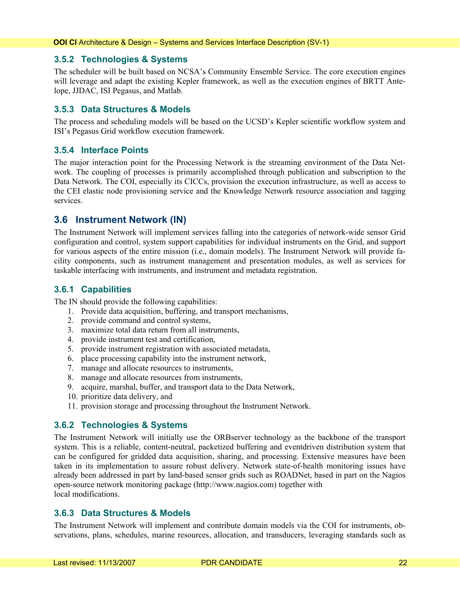## <span id="page-21-0"></span>**3.5.2 Technologies & Systems**

The scheduler will be built based on NCSA's Community Ensemble Service. The core execution engines will leverage and adapt the existing Kepler framework, as well as the execution engines of BRTT Antelope, JJDAC, ISI Pegasus, and Matlab.

## **3.5.3 Data Structures & Models**

The process and scheduling models will be based on the UCSD's Kepler scientific workflow system and ISI's Pegasus Grid workflow execution framework.

## **3.5.4 Interface Points**

The major interaction point for the Processing Network is the streaming environment of the Data Network. The coupling of processes is primarily accomplished through publication and subscription to the Data Network. The COI, especially its CICCs, provision the execution infrastructure, as well as access to the CEI elastic node provisioning service and the Knowledge Network resource association and tagging services.

## **3.6 Instrument Network (IN)**

The Instrument Network will implement services falling into the categories of network-wide sensor Grid configuration and control, system support capabilities for individual instruments on the Grid, and support for various aspects of the entire mission (i.e., domain models). The Instrument Network will provide facility components, such as instrument management and presentation modules, as well as services for taskable interfacing with instruments, and instrument and metadata registration.

## **3.6.1 Capabilities**

The IN should provide the following capabilities:

- 1. Provide data acquisition, buffering, and transport mechanisms,
- 2. provide command and control systems,
- 3. maximize total data return from all instruments,
- 4. provide instrument test and certification,
- 5. provide instrument registration with associated metadata,
- 6. place processing capability into the instrument network,
- 7. manage and allocate resources to instruments,
- 8. manage and allocate resources from instruments,
- 9. acquire, marshal, buffer, and transport data to the Data Network,
- 10. prioritize data delivery, and
- 11. provision storage and processing throughout the Instrument Network.

## **3.6.2 Technologies & Systems**

The Instrument Network will initially use the ORBserver technology as the backbone of the transport system. This is a reliable, content-neutral, packetized buffering and eventdriven distribution system that can be configured for gridded data acquisition, sharing, and processing. Extensive measures have been taken in its implementation to assure robust delivery. Network state-of-health monitoring issues have already been addressed in part by land-based sensor grids such as ROADNet, based in part on the Nagios open-source network monitoring package (http://www.nagios.com) together with local modifications.

## **3.6.3 Data Structures & Models**

The Instrument Network will implement and contribute domain models via the COI for instruments, observations, plans, schedules, marine resources, allocation, and transducers, leveraging standards such as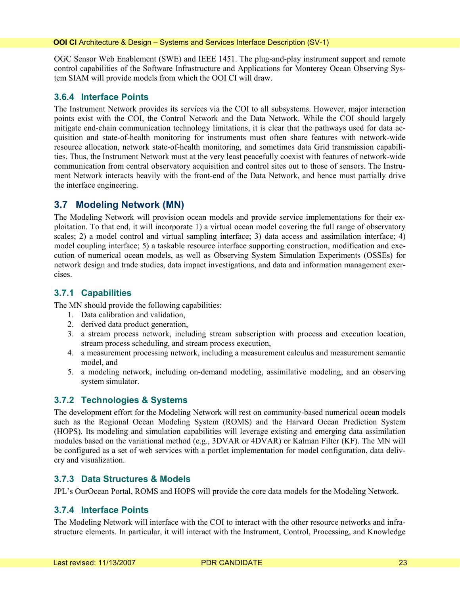<span id="page-22-0"></span>OGC Sensor Web Enablement (SWE) and IEEE 1451. The plug-and-play instrument support and remote control capabilities of the Software Infrastructure and Applications for Monterey Ocean Observing System SIAM will provide models from which the OOI CI will draw.

## **3.6.4 Interface Points**

The Instrument Network provides its services via the COI to all subsystems. However, major interaction points exist with the COI, the Control Network and the Data Network. While the COI should largely mitigate end-chain communication technology limitations, it is clear that the pathways used for data acquisition and state-of-health monitoring for instruments must often share features with network-wide resource allocation, network state-of-health monitoring, and sometimes data Grid transmission capabilities. Thus, the Instrument Network must at the very least peacefully coexist with features of network-wide communication from central observatory acquisition and control sites out to those of sensors. The Instrument Network interacts heavily with the front-end of the Data Network, and hence must partially drive the interface engineering.

## **3.7 Modeling Network (MN)**

The Modeling Network will provision ocean models and provide service implementations for their exploitation. To that end, it will incorporate 1) a virtual ocean model covering the full range of observatory scales; 2) a model control and virtual sampling interface; 3) data access and assimilation interface; 4) model coupling interface; 5) a taskable resource interface supporting construction, modification and execution of numerical ocean models, as well as Observing System Simulation Experiments (OSSEs) for network design and trade studies, data impact investigations, and data and information management exercises.

## **3.7.1 Capabilities**

The MN should provide the following capabilities:

- 1. Data calibration and validation,
- 2. derived data product generation,
- 3. a stream process network, including stream subscription with process and execution location, stream process scheduling, and stream process execution,
- 4. a measurement processing network, including a measurement calculus and measurement semantic model, and
- 5. a modeling network, including on-demand modeling, assimilative modeling, and an observing system simulator.

## **3.7.2 Technologies & Systems**

The development effort for the Modeling Network will rest on community-based numerical ocean models such as the Regional Ocean Modeling System (ROMS) and the Harvard Ocean Prediction System (HOPS). Its modeling and simulation capabilities will leverage existing and emerging data assimilation modules based on the variational method (e.g., 3DVAR or 4DVAR) or Kalman Filter (KF). The MN will be configured as a set of web services with a portlet implementation for model configuration, data delivery and visualization.

## **3.7.3 Data Structures & Models**

JPL's OurOcean Portal, ROMS and HOPS will provide the core data models for the Modeling Network.

## **3.7.4 Interface Points**

The Modeling Network will interface with the COI to interact with the other resource networks and infrastructure elements. In particular, it will interact with the Instrument, Control, Processing, and Knowledge